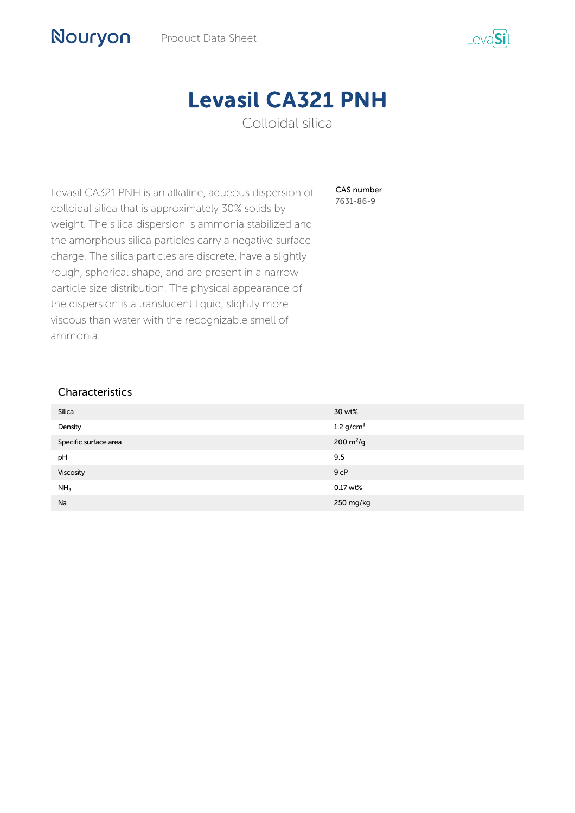

# Levasil CA321 PNH Colloidal silica

CAS number 7631-86-9

Levasil CA321 PNH is an alkaline, aqueous dispersion of colloidal silica that is approximately 30% solids by weight. The silica dispersion is ammonia stabilized and the amorphous silica particles carry a negative surface charge. The silica particles are discrete, have a slightly rough, spherical shape, and are present in a narrow particle size distribution. The physical appearance of the dispersion is a translucent liquid, slightly more viscous than water with the recognizable smell of ammonia.

## Characteristics

Nouryon

| Silica                | 30 wt%                       |
|-----------------------|------------------------------|
| Density               | 1.2 $g/cm^3$                 |
| Specific surface area | $200 \, \text{m}^2/\text{g}$ |
| pH                    | 9.5                          |
| Viscosity             | 9 <sub>CP</sub>              |
| NH <sub>3</sub>       | $0.17$ wt%                   |
| Na                    | 250 mg/kg                    |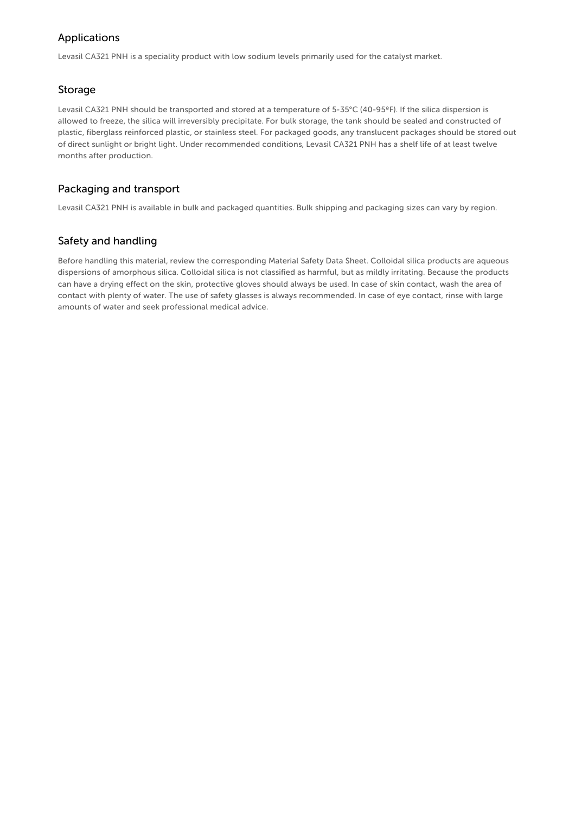# Applications

Levasil CA321 PNH is a speciality product with low sodium levels primarily used for the catalyst market.

### Storage

Levasil CA321 PNH should be transported and stored at a temperature of 5-35°C (40-95ºF). If the silica dispersion is allowed to freeze, the silica will irreversibly precipitate. For bulk storage, the tank should be sealed and constructed of plastic, fiberglass reinforced plastic, or stainless steel. For packaged goods, any translucent packages should be stored out of direct sunlight or bright light. Under recommended conditions, Levasil CA321 PNH has a shelf life of at least twelve months after production.

## Packaging and transport

Levasil CA321 PNH is available in bulk and packaged quantities. Bulk shipping and packaging sizes can vary by region.

## Safety and handling

Before handling this material, review the corresponding Material Safety Data Sheet. Colloidal silica products are aqueous dispersions of amorphous silica. Colloidal silica is not classified as harmful, but as mildly irritating. Because the products can have a drying effect on the skin, protective gloves should always be used. In case of skin contact, wash the area of contact with plenty of water. The use of safety glasses is always recommended. In case of eye contact, rinse with large amounts of water and seek professional medical advice.